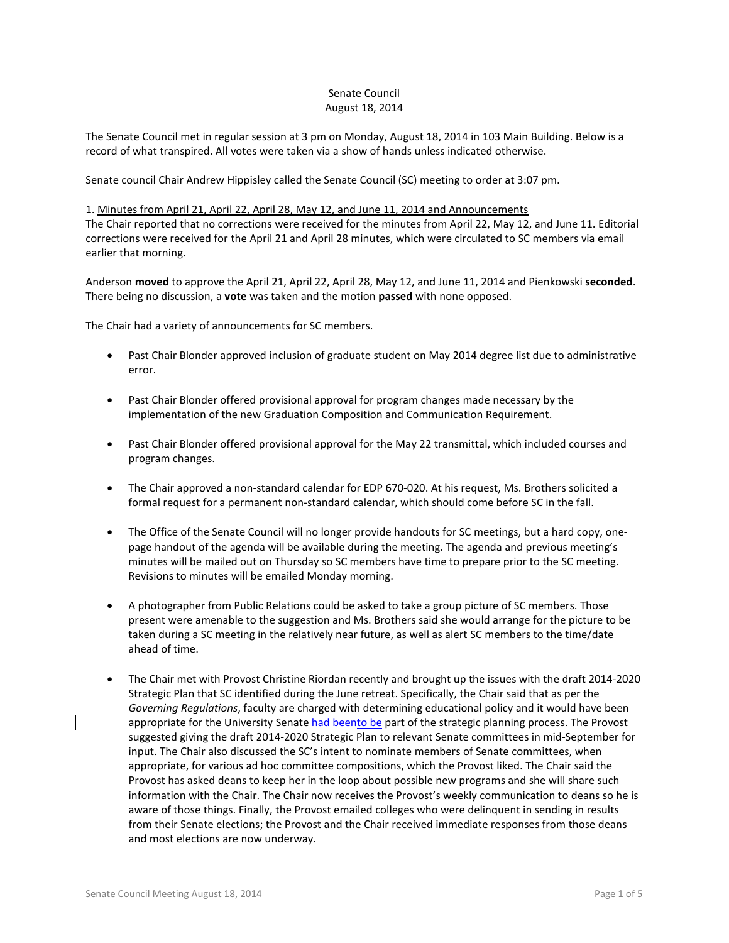# Senate Council August 18, 2014

The Senate Council met in regular session at 3 pm on Monday, August 18, 2014 in 103 Main Building. Below is a record of what transpired. All votes were taken via a show of hands unless indicated otherwise.

Senate council Chair Andrew Hippisley called the Senate Council (SC) meeting to order at 3:07 pm.

#### 1. Minutes from April 21, April 22, April 28, May 12, and June 11, 2014 and Announcements

The Chair reported that no corrections were received for the minutes from April 22, May 12, and June 11. Editorial corrections were received for the April 21 and April 28 minutes, which were circulated to SC members via email earlier that morning.

Anderson **moved** to approve the April 21, April 22, April 28, May 12, and June 11, 2014 and Pienkowski **seconded**. There being no discussion, a **vote** was taken and the motion **passed** with none opposed.

The Chair had a variety of announcements for SC members.

- Past Chair Blonder approved inclusion of graduate student on May 2014 degree list due to administrative error.
- Past Chair Blonder offered provisional approval for program changes made necessary by the implementation of the new Graduation Composition and Communication Requirement.
- Past Chair Blonder offered provisional approval for the May 22 transmittal, which included courses and program changes.
- The Chair approved a non-standard calendar for EDP 670-020. At his request, Ms. Brothers solicited a formal request for a permanent non-standard calendar, which should come before SC in the fall.
- The Office of the Senate Council will no longer provide handouts for SC meetings, but a hard copy, onepage handout of the agenda will be available during the meeting. The agenda and previous meeting's minutes will be mailed out on Thursday so SC members have time to prepare prior to the SC meeting. Revisions to minutes will be emailed Monday morning.
- A photographer from Public Relations could be asked to take a group picture of SC members. Those present were amenable to the suggestion and Ms. Brothers said she would arrange for the picture to be taken during a SC meeting in the relatively near future, as well as alert SC members to the time/date ahead of time.
- The Chair met with Provost Christine Riordan recently and brought up the issues with the draft 2014-2020 Strategic Plan that SC identified during the June retreat. Specifically, the Chair said that as per the *Governing Regulations*, faculty are charged with determining educational policy and it would have been appropriate for the University Senate had beento be part of the strategic planning process. The Provost suggested giving the draft 2014-2020 Strategic Plan to relevant Senate committees in mid-September for input. The Chair also discussed the SC's intent to nominate members of Senate committees, when appropriate, for various ad hoc committee compositions, which the Provost liked. The Chair said the Provost has asked deans to keep her in the loop about possible new programs and she will share such information with the Chair. The Chair now receives the Provost's weekly communication to deans so he is aware of those things. Finally, the Provost emailed colleges who were delinquent in sending in results from their Senate elections; the Provost and the Chair received immediate responses from those deans and most elections are now underway.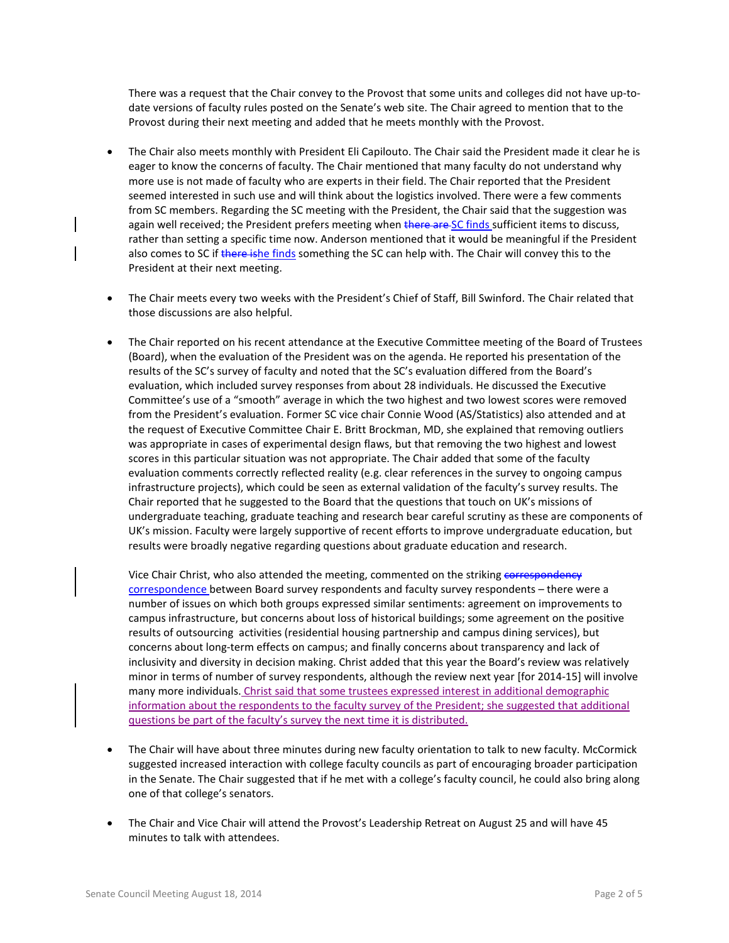There was a request that the Chair convey to the Provost that some units and colleges did not have up-todate versions of faculty rules posted on the Senate's web site. The Chair agreed to mention that to the Provost during their next meeting and added that he meets monthly with the Provost.

- The Chair also meets monthly with President Eli Capilouto. The Chair said the President made it clear he is eager to know the concerns of faculty. The Chair mentioned that many faculty do not understand why more use is not made of faculty who are experts in their field. The Chair reported that the President seemed interested in such use and will think about the logistics involved. There were a few comments from SC members. Regarding the SC meeting with the President, the Chair said that the suggestion was again well received; the President prefers meeting when there are SC finds sufficient items to discuss, rather than setting a specific time now. Anderson mentioned that it would be meaningful if the President also comes to SC if there ishe finds something the SC can help with. The Chair will convey this to the President at their next meeting.
- The Chair meets every two weeks with the President's Chief of Staff, Bill Swinford. The Chair related that those discussions are also helpful.
- The Chair reported on his recent attendance at the Executive Committee meeting of the Board of Trustees (Board), when the evaluation of the President was on the agenda. He reported his presentation of the results of the SC's survey of faculty and noted that the SC's evaluation differed from the Board's evaluation, which included survey responses from about 28 individuals. He discussed the Executive Committee's use of a "smooth" average in which the two highest and two lowest scores were removed from the President's evaluation. Former SC vice chair Connie Wood (AS/Statistics) also attended and at the request of Executive Committee Chair E. Britt Brockman, MD, she explained that removing outliers was appropriate in cases of experimental design flaws, but that removing the two highest and lowest scores in this particular situation was not appropriate. The Chair added that some of the faculty evaluation comments correctly reflected reality (e.g. clear references in the survey to ongoing campus infrastructure projects), which could be seen as external validation of the faculty's survey results. The Chair reported that he suggested to the Board that the questions that touch on UK's missions of undergraduate teaching, graduate teaching and research bear careful scrutiny as these are components of UK's mission. Faculty were largely supportive of recent efforts to improve undergraduate education, but results were broadly negative regarding questions about graduate education and research.

Vice Chair Christ, who also attended the meeting, commented on the striking correspondency correspondence between Board survey respondents and faculty survey respondents – there were a number of issues on which both groups expressed similar sentiments: agreement on improvements to campus infrastructure, but concerns about loss of historical buildings; some agreement on the positive results of outsourcing activities (residential housing partnership and campus dining services), but concerns about long-term effects on campus; and finally concerns about transparency and lack of inclusivity and diversity in decision making. Christ added that this year the Board's review was relatively minor in terms of number of survey respondents, although the review next year [for 2014-15] will involve many more individuals. Christ said that some trustees expressed interest in additional demographic information about the respondents to the faculty survey of the President; she suggested that additional questions be part of the faculty's survey the next time it is distributed.

- The Chair will have about three minutes during new faculty orientation to talk to new faculty. McCormick suggested increased interaction with college faculty councils as part of encouraging broader participation in the Senate. The Chair suggested that if he met with a college's faculty council, he could also bring along one of that college's senators.
- The Chair and Vice Chair will attend the Provost's Leadership Retreat on August 25 and will have 45 minutes to talk with attendees.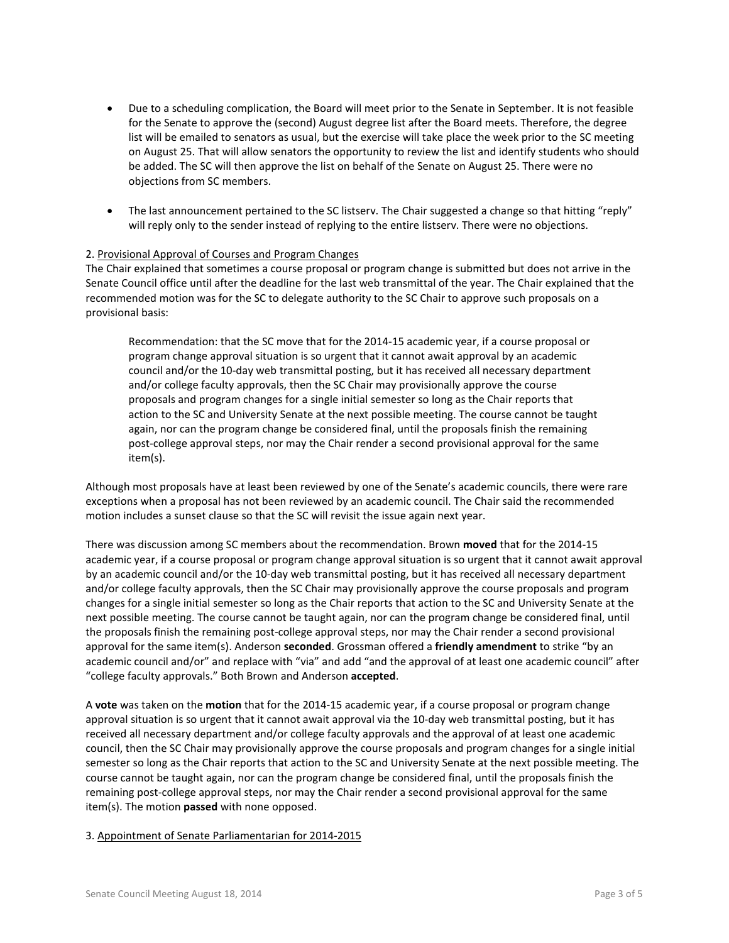- Due to a scheduling complication, the Board will meet prior to the Senate in September. It is not feasible for the Senate to approve the (second) August degree list after the Board meets. Therefore, the degree list will be emailed to senators as usual, but the exercise will take place the week prior to the SC meeting on August 25. That will allow senators the opportunity to review the list and identify students who should be added. The SC will then approve the list on behalf of the Senate on August 25. There were no objections from SC members.
- The last announcement pertained to the SC listserv. The Chair suggested a change so that hitting "reply" will reply only to the sender instead of replying to the entire listserv. There were no objections.

## 2. Provisional Approval of Courses and Program Changes

The Chair explained that sometimes a course proposal or program change is submitted but does not arrive in the Senate Council office until after the deadline for the last web transmittal of the year. The Chair explained that the recommended motion was for the SC to delegate authority to the SC Chair to approve such proposals on a provisional basis:

Recommendation: that the SC move that for the 2014-15 academic year, if a course proposal or program change approval situation is so urgent that it cannot await approval by an academic council and/or the 10-day web transmittal posting, but it has received all necessary department and/or college faculty approvals, then the SC Chair may provisionally approve the course proposals and program changes for a single initial semester so long as the Chair reports that action to the SC and University Senate at the next possible meeting. The course cannot be taught again, nor can the program change be considered final, until the proposals finish the remaining post-college approval steps, nor may the Chair render a second provisional approval for the same item(s).

Although most proposals have at least been reviewed by one of the Senate's academic councils, there were rare exceptions when a proposal has not been reviewed by an academic council. The Chair said the recommended motion includes a sunset clause so that the SC will revisit the issue again next year.

There was discussion among SC members about the recommendation. Brown **moved** that for the 2014-15 academic year, if a course proposal or program change approval situation is so urgent that it cannot await approval by an academic council and/or the 10-day web transmittal posting, but it has received all necessary department and/or college faculty approvals, then the SC Chair may provisionally approve the course proposals and program changes for a single initial semester so long as the Chair reports that action to the SC and University Senate at the next possible meeting. The course cannot be taught again, nor can the program change be considered final, until the proposals finish the remaining post-college approval steps, nor may the Chair render a second provisional approval for the same item(s). Anderson **seconded**. Grossman offered a **friendly amendment** to strike "by an academic council and/or" and replace with "via" and add "and the approval of at least one academic council" after "college faculty approvals." Both Brown and Anderson **accepted**.

A **vote** was taken on the **motion** that for the 2014-15 academic year, if a course proposal or program change approval situation is so urgent that it cannot await approval via the 10-day web transmittal posting, but it has received all necessary department and/or college faculty approvals and the approval of at least one academic council, then the SC Chair may provisionally approve the course proposals and program changes for a single initial semester so long as the Chair reports that action to the SC and University Senate at the next possible meeting. The course cannot be taught again, nor can the program change be considered final, until the proposals finish the remaining post-college approval steps, nor may the Chair render a second provisional approval for the same item(s). The motion **passed** with none opposed.

#### 3. Appointment of Senate Parliamentarian for 2014-2015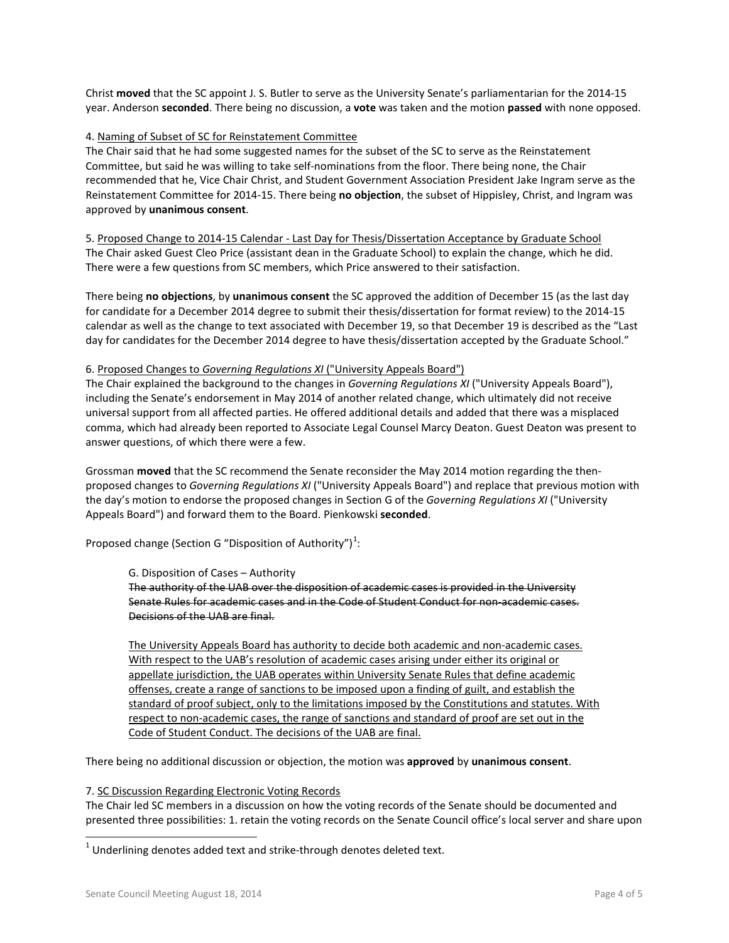Christ **moved** that the SC appoint J. S. Butler to serve as the University Senate's parliamentarian for the 2014-15 year. Anderson **seconded**. There being no discussion, a **vote** was taken and the motion **passed** with none opposed.

# 4. Naming of Subset of SC for Reinstatement Committee

The Chair said that he had some suggested names for the subset of the SC to serve as the Reinstatement Committee, but said he was willing to take self-nominations from the floor. There being none, the Chair recommended that he, Vice Chair Christ, and Student Government Association President Jake Ingram serve as the Reinstatement Committee for 2014-15. There being **no objection**, the subset of Hippisley, Christ, and Ingram was approved by **unanimous consent**.

5. Proposed Change to 2014-15 Calendar - Last Day for Thesis/Dissertation Acceptance by Graduate School The Chair asked Guest Cleo Price (assistant dean in the Graduate School) to explain the change, which he did. There were a few questions from SC members, which Price answered to their satisfaction.

There being **no objections**, by **unanimous consent** the SC approved the addition of December 15 (as the last day for candidate for a December 2014 degree to submit their thesis/dissertation for format review) to the 2014-15 calendar as well as the change to text associated with December 19, so that December 19 is described as the "Last day for candidates for the December 2014 degree to have thesis/dissertation accepted by the Graduate School."

#### 6. Proposed Changes to *Governing Regulations XI* ("University Appeals Board")

The Chair explained the background to the changes in *Governing Regulations XI* ("University Appeals Board"), including the Senate's endorsement in May 2014 of another related change, which ultimately did not receive universal support from all affected parties. He offered additional details and added that there was a misplaced comma, which had already been reported to Associate Legal Counsel Marcy Deaton. Guest Deaton was present to answer questions, of which there were a few.

Grossman **moved** that the SC recommend the Senate reconsider the May 2014 motion regarding the thenproposed changes to *Governing Regulations XI* ("University Appeals Board") and replace that previous motion with the day's motion to endorse the proposed changes in Section G of the *Governing Regulations XI* ("University Appeals Board") and forward them to the Board. Pienkowski **seconded**.

Proposed change (Section G "Disposition of Authority") $^1$  $^1$ :

#### G. Disposition of Cases – Authority

The authority of the UAB over the disposition of academic cases is provided in the University Senate Rules for academic cases and in the Code of Student Conduct for non-academic cases. Decisions of the UAB are final.

The University Appeals Board has authority to decide both academic and non-academic cases. With respect to the UAB's resolution of academic cases arising under either its original or appellate jurisdiction, the UAB operates within University Senate Rules that define academic offenses, create a range of sanctions to be imposed upon a finding of guilt, and establish the standard of proof subject, only to the limitations imposed by the Constitutions and statutes. With respect to non-academic cases, the range of sanctions and standard of proof are set out in the Code of Student Conduct. The decisions of the UAB are final.

There being no additional discussion or objection, the motion was **approved** by **unanimous consent**.

#### 7. SC Discussion Regarding Electronic Voting Records

The Chair led SC members in a discussion on how the voting records of the Senate should be documented and presented three possibilities: 1. retain the voting records on the Senate Council office's local server and share upon

j

<span id="page-3-0"></span> $1$  Underlining denotes added text and strike-through denotes deleted text.